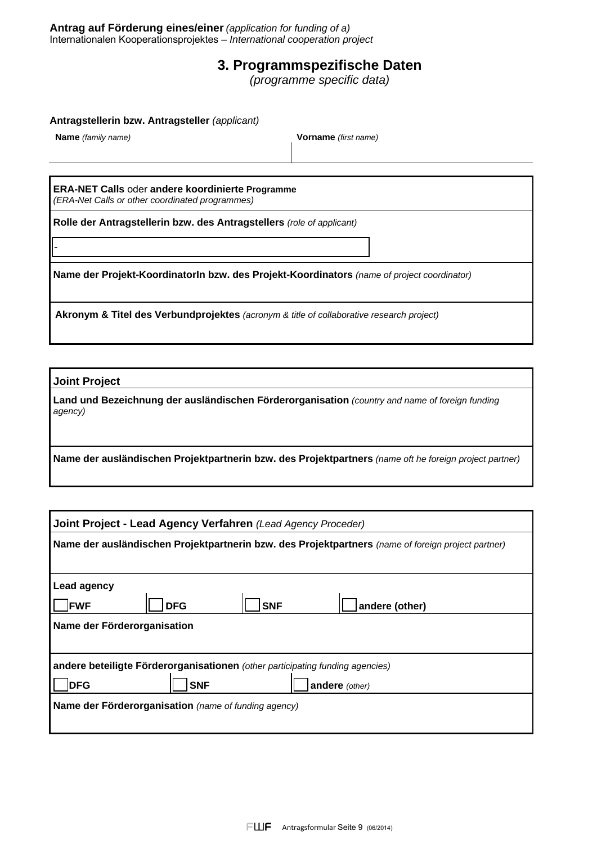**Antrag auf Förderung eines/einer** *(application for funding of a)*  Internationalen Kooperationsprojektes *– International cooperation project* 

# **3. Programmspezifische Daten**

*(programme specific data)* 

**Antragstellerin bzw. Antragsteller** *(applicant)* 

**Name** *(family name)* **Vorname** *(first name)* 

**ERA-NET Calls** oder **andere koordinierte Programme**  *(ERA-Net Calls or other coordinated programmes)*

**Rolle der Antragstellerin bzw. des Antragstellers** *(role of applicant)*

**Name der Projekt-KoordinatorIn bzw. des Projekt-Koordinators** *(name of project coordinator)* 

**Akronym & Titel des Verbundprojektes** *(acronym & title of collaborative research project)* 

**Joint Project**

-

**Land und Bezeichnung der ausländischen Förderorganisation** *(country and name of foreign funding agency)*

**Name der ausländischen Projektpartnerin bzw. des Projektpartners** *(name oft he foreign project partner)* 

| Joint Project - Lead Agency Verfahren (Lead Agency Proceder)                                       |            |            |                |  |  |
|----------------------------------------------------------------------------------------------------|------------|------------|----------------|--|--|
| Name der ausländischen Projektpartnerin bzw. des Projektpartners (name of foreign project partner) |            |            |                |  |  |
|                                                                                                    |            |            |                |  |  |
| Lead agency                                                                                        |            |            |                |  |  |
| <b>FWF</b>                                                                                         | <b>DFG</b> | <b>SNF</b> | andere (other) |  |  |
| Name der Förderorganisation                                                                        |            |            |                |  |  |
|                                                                                                    |            |            |                |  |  |
| andere beteiligte Förderorganisationen (other participating funding agencies)                      |            |            |                |  |  |
| <b>DFG</b><br><b>SNF</b><br>andere (other)                                                         |            |            |                |  |  |
| Name der Förderorganisation (name of funding agency)                                               |            |            |                |  |  |
|                                                                                                    |            |            |                |  |  |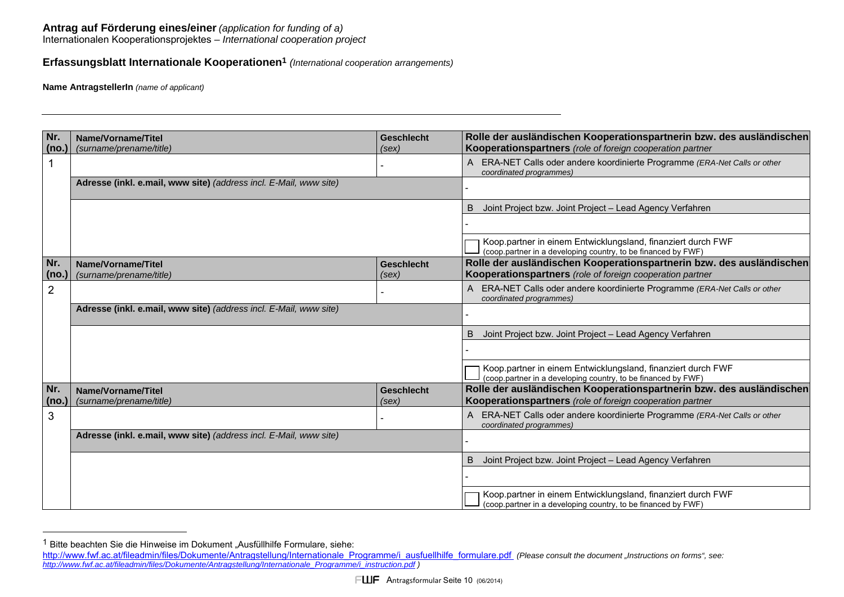### **Antrag auf Förderung eines/einer** *(application for funding of a)*

Internationalen Kooperationsprojektes *– International cooperation project* 

## **Erfassungsblatt Internationale Kooperationen1** *(International cooperation arrangements)*

**Name AntragstellerIn** *(name of applicant)*

| Nr.<br>(no.)   | Name/Vorname/Titel<br>(surname/prename/title)                                                                                                                                                                                                                  | <b>Geschlecht</b><br>(sex) | Rolle der ausländischen Kooperationspartnerin bzw. des ausländischen<br>Kooperationspartners (role of foreign cooperation partner |  |  |
|----------------|----------------------------------------------------------------------------------------------------------------------------------------------------------------------------------------------------------------------------------------------------------------|----------------------------|-----------------------------------------------------------------------------------------------------------------------------------|--|--|
|                |                                                                                                                                                                                                                                                                |                            | A ERA-NET Calls oder andere koordinierte Programme (ERA-Net Calls or other<br>coordinated programmes)                             |  |  |
|                | Adresse (inkl. e.mail, www site) (address incl. E-Mail, www site)                                                                                                                                                                                              |                            |                                                                                                                                   |  |  |
|                |                                                                                                                                                                                                                                                                |                            | Joint Project bzw. Joint Project - Lead Agency Verfahren                                                                          |  |  |
|                |                                                                                                                                                                                                                                                                |                            |                                                                                                                                   |  |  |
|                |                                                                                                                                                                                                                                                                |                            | Koop.partner in einem Entwicklungsland, finanziert durch FWF<br>(coop partner in a developing country, to be financed by FWF)     |  |  |
| Nr.<br>(no.)   | Name/Vorname/Titel<br>(surname/prename/title)                                                                                                                                                                                                                  | <b>Geschlecht</b><br>(sex) | Rolle der ausländischen Kooperationspartnerin bzw. des ausländischen<br>Kooperationspartners (role of foreign cooperation partner |  |  |
| $\overline{2}$ |                                                                                                                                                                                                                                                                |                            | A ERA-NET Calls oder andere koordinierte Programme (ERA-Net Calls or other<br>coordinated programmes)                             |  |  |
|                | Adresse (inkl. e.mail, www site) (address incl. E-Mail, www site)                                                                                                                                                                                              |                            |                                                                                                                                   |  |  |
|                |                                                                                                                                                                                                                                                                |                            | Joint Project bzw. Joint Project - Lead Agency Verfahren<br>B                                                                     |  |  |
|                |                                                                                                                                                                                                                                                                |                            |                                                                                                                                   |  |  |
|                |                                                                                                                                                                                                                                                                |                            | Koop.partner in einem Entwicklungsland, finanziert durch FWF<br>(coop partner in a developing country, to be financed by FWF)     |  |  |
| Nr.<br>(no.)   | Name/Vorname/Titel<br>(surname/prename/title)                                                                                                                                                                                                                  | <b>Geschlecht</b><br>(sex) | Rolle der ausländischen Kooperationspartnerin bzw. des ausländischen<br>Kooperationspartners (role of foreign cooperation partner |  |  |
| 3              |                                                                                                                                                                                                                                                                |                            | A ERA-NET Calls oder andere koordinierte Programme (ERA-Net Calls or other<br>coordinated programmes)                             |  |  |
|                | Adresse (inkl. e.mail, www site) (address incl. E-Mail, www site)                                                                                                                                                                                              |                            |                                                                                                                                   |  |  |
|                |                                                                                                                                                                                                                                                                |                            | Joint Project bzw. Joint Project - Lead Agency Verfahren<br>B                                                                     |  |  |
|                |                                                                                                                                                                                                                                                                |                            |                                                                                                                                   |  |  |
|                |                                                                                                                                                                                                                                                                |                            | Koop.partner in einem Entwicklungsland, finanziert durch FWF<br>(coop partner in a developing country, to be financed by FWF)     |  |  |
|                |                                                                                                                                                                                                                                                                |                            |                                                                                                                                   |  |  |
|                |                                                                                                                                                                                                                                                                |                            |                                                                                                                                   |  |  |
|                | Bitte beachten Sie die Hinweise im Dokument "Ausfüllhilfe Formulare, siehe:<br>http://www.fwf.ac.at/fileadmin/files/Dokumente/Antragstellung/Internationale Programme/i ausfuellhilfe formulare.pdf (Please consult the document "Instructions on forms", see: |                            |                                                                                                                                   |  |  |
|                | http://www.fwf.ac.at/fileadmin/files/Dokumente/Antragstellung/Internationale Programme/i instruction.pdf                                                                                                                                                       |                            |                                                                                                                                   |  |  |

 $1$  Bitte beachten Sie die Hinweise im Dokument "Ausfüllhilfe Formulare, siehe:

http://www.fwf.ac.at/fileadmin/files/Dokumente/Antragstellung/Internationale\_Programme/i\_ausfuellhilfe\_formulare.pdf (Please consult the document "Instructions on forms", see:<br>http://www.fwf.ac.at/fileadmin/files/Dokumente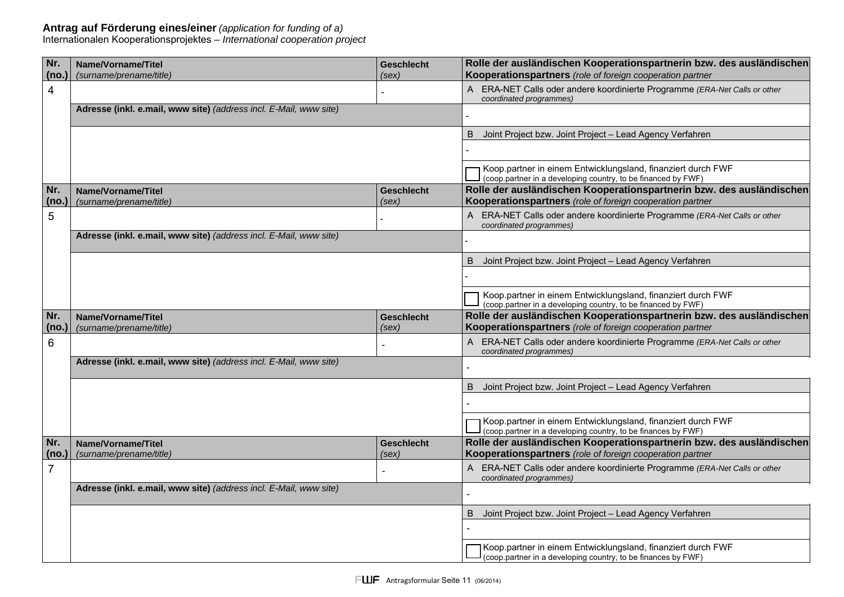### **Antrag auf Förderung eines/einer** *(application for funding of a)*

Internationalen Kooperationsprojektes *– International cooperation project*

| Nr.            | Name/Vorname/Titel                                                | <b>Geschlecht</b>          | Rolle der ausländischen Kooperationspartnerin bzw. des ausländischen                                                              |
|----------------|-------------------------------------------------------------------|----------------------------|-----------------------------------------------------------------------------------------------------------------------------------|
| (no.)          | (surname/prename/title)                                           | (sex)                      | Kooperationspartners (role of foreign cooperation partner                                                                         |
| 4              |                                                                   |                            | ERA-NET Calls oder andere koordinierte Programme (ERA-Net Calls or other<br>$\mathsf{A}$<br>coordinated programmes)               |
|                | Adresse (inkl. e.mail, www site) (address incl. E-Mail, www site) |                            |                                                                                                                                   |
|                |                                                                   |                            | Joint Project bzw. Joint Project - Lead Agency Verfahren<br>B                                                                     |
|                |                                                                   |                            |                                                                                                                                   |
|                |                                                                   |                            | Koop.partner in einem Entwicklungsland, finanziert durch FWF<br>(coop partner in a developing country, to be financed by FWF)     |
| Nr.<br>(no.)   | Name/Vorname/Titel<br>(surname/prename/title)                     | <b>Geschlecht</b><br>(sex) | Rolle der ausländischen Kooperationspartnerin bzw. des ausländischen<br>Kooperationspartners (role of foreign cooperation partner |
| 5              |                                                                   |                            | A ERA-NET Calls oder andere koordinierte Programme (ERA-Net Calls or other<br>coordinated programmes)                             |
|                | Adresse (inkl. e.mail, www site) (address incl. E-Mail, www site) |                            |                                                                                                                                   |
|                |                                                                   |                            | Joint Project bzw. Joint Project - Lead Agency Verfahren<br>B                                                                     |
|                |                                                                   |                            |                                                                                                                                   |
|                |                                                                   |                            | Koop.partner in einem Entwicklungsland, finanziert durch FWF<br>(coop partner in a developing country, to be financed by FWF)     |
|                |                                                                   |                            | Rolle der ausländischen Kooperationspartnerin bzw. des ausländischen                                                              |
| Nr.<br>(no.)   | Name/Vorname/Titel<br>(surname/prename/title)                     | <b>Geschlecht</b><br>(sex) | Kooperationspartners (role of foreign cooperation partner                                                                         |
| 6              |                                                                   |                            | A ERA-NET Calls oder andere koordinierte Programme (ERA-Net Calls or other<br>coordinated programmes)                             |
|                | Adresse (inkl. e.mail, www site) (address incl. E-Mail, www site) |                            |                                                                                                                                   |
|                |                                                                   |                            | Joint Project bzw. Joint Project - Lead Agency Verfahren<br>B                                                                     |
|                |                                                                   |                            |                                                                                                                                   |
|                |                                                                   |                            | Koop.partner in einem Entwicklungsland, finanziert durch FWF<br>(coop partner in a developing country, to be finances by FWF)     |
| Nr.<br>(no.)   | Name/Vorname/Titel<br>(surname/prename/title)                     | <b>Geschlecht</b><br>(sex) | Rolle der ausländischen Kooperationspartnerin bzw. des ausländischen<br>Kooperationspartners (role of foreign cooperation partner |
| $\overline{7}$ |                                                                   |                            | A ERA-NET Calls oder andere koordinierte Programme (ERA-Net Calls or other                                                        |
|                | Adresse (inkl. e.mail, www site) (address incl. E-Mail, www site) |                            | coordinated programmes)                                                                                                           |
|                |                                                                   |                            | Joint Project bzw. Joint Project - Lead Agency Verfahren<br>B                                                                     |
|                |                                                                   |                            |                                                                                                                                   |